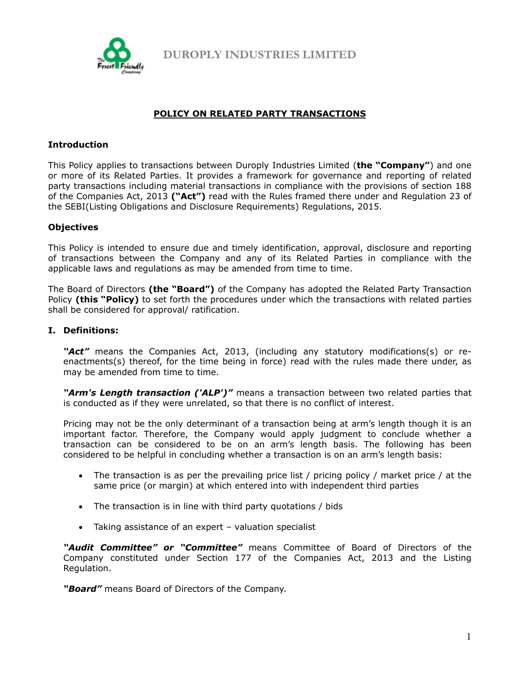

**DUROPLY INDUSTRIES LIMITED**

# **POLICY ON RELATED PARTY TRANSACTIONS**

## **Introduction**

This Policy applies to transactions between Duroply Industries Limited (**the "Company"**) and one or more of its Related Parties. It provides a framework for governance and reporting of related party transactions including material transactions in compliance with the provisions of section 188 of the Companies Act, 2013 **("Act")** read with the Rules framed there under and Regulation 23 of the SEBI(Listing Obligations and Disclosure Requirements) Regulations, 2015.

## **Objectives**

This Policy is intended to ensure due and timely identification, approval, disclosure and reporting of transactions between the Company and any of its Related Parties in compliance with the applicable laws and regulations as may be amended from time to time.

The Board of Directors **(the "Board")** of the Company has adopted the Related Party Transaction Policy **(this "Policy)** to set forth the procedures under which the transactions with related parties shall be considered for approval/ ratification.

## **I. Definitions:**

*"Act"* means the Companies Act, 2013, (including any statutory modifications(s) or reenactments(s) thereof, for the time being in force) read with the rules made there under, as may be amended from time to time.

*"Arm's Length transaction ('ALP')"* means a transaction between two related parties that is conducted as if they were unrelated, so that there is no conflict of interest.

Pricing may not be the only determinant of a transaction being at arm's length though it is an important factor. Therefore, the Company would apply judgment to conclude whether a transaction can be considered to be on an arm's length basis. The following has been considered to be helpful in concluding whether a transaction is on an arm's length basis:

- The transaction is as per the prevailing price list / pricing policy / market price / at the same price (or margin) at which entered into with independent third parties
- The transaction is in line with third party quotations / bids
- Taking assistance of an expert valuation specialist

*"Audit Committee" or "Committee"* means Committee of Board of Directors of the Company constituted under Section 177 of the Companies Act, 2013 and the Listing Regulation.

*"Board"* means Board of Directors of the Company.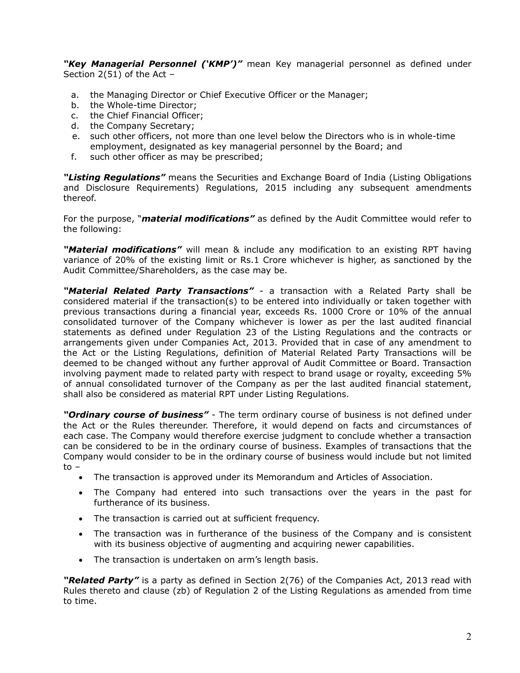"Key Managerial Personnel ('KMP')" mean Key managerial personnel as defined under Section 2(51) of the Act –

- a. the Managing Director or Chief Executive Officer or the Manager;
- b. the Whole-time Director;
- c. the Chief Financial Officer;
- d. the Company Secretary;
- e. such other officers, not more than one level below the Directors who is in whole-time employment, designated as key managerial personnel by the Board; and
- f. such other officer as may be prescribed;

*"Listing Regulations"* means the Securities and Exchange Board of India (Listing Obligations and Disclosure Requirements) Regulations, 2015 including any subsequent amendments thereof.

For the purpose, "*material modifications"* as defined by the Audit Committee would refer to the following:

*"Material modifications"* will mean & include any modification to an existing RPT having variance of 20% of the existing limit or Rs.1 Crore whichever is higher, as sanctioned by the Audit Committee/Shareholders, as the case may be.

*"Material Related Party Transactions"* - a transaction with a Related Party shall be considered material if the transaction(s) to be entered into individually or taken together with previous transactions during a financial year, exceeds Rs. 1000 Crore or 10% of the annual consolidated turnover of the Company whichever is lower as per the last audited financial statements as defined under Regulation 23 of the Listing Regulations and the contracts or arrangements given under Companies Act, 2013. Provided that in case of any amendment to the Act or the Listing Regulations, definition of Material Related Party Transactions will be deemed to be changed without any further approval of Audit Committee or Board. Transaction involving payment made to related party with respect to brand usage or royalty, exceeding 5% of annual consolidated turnover of the Company as per the last audited financial statement, shall also be considered as material RPT under Listing Regulations.

*"Ordinary course of business"* - The term ordinary course of business is not defined under the Act or the Rules thereunder. Therefore, it would depend on facts and circumstances of each case. The Company would therefore exercise judgment to conclude whether a transaction can be considered to be in the ordinary course of business. Examples of transactions that the Company would consider to be in the ordinary course of business would include but not limited to –

- The transaction is approved under its Memorandum and Articles of Association.
- The Company had entered into such transactions over the years in the past for furtherance of its business.
- The transaction is carried out at sufficient frequency.
- The transaction was in furtherance of the business of the Company and is consistent with its business objective of augmenting and acquiring newer capabilities.
- The transaction is undertaken on arm's length basis.

*"Related Party"* is a party as defined in Section 2(76) of the Companies Act, 2013 read with Rules thereto and clause (zb) of Regulation 2 of the Listing Regulations as amended from time to time.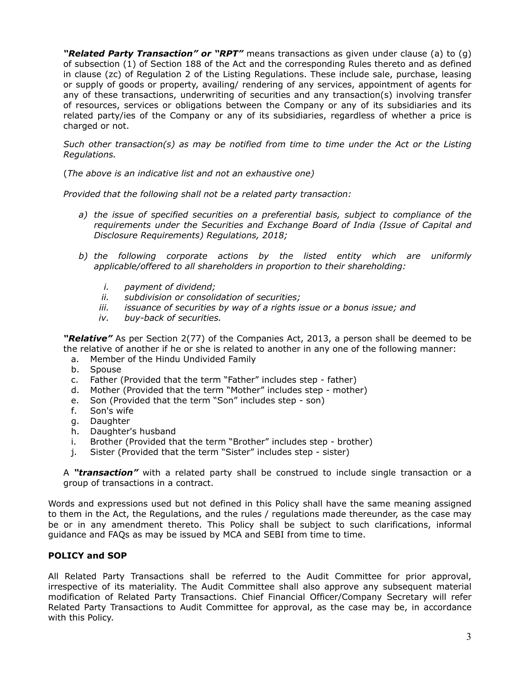*"Related Party Transaction" or "RPT"* means transactions as given under clause (a) to (g) of subsection (1) of Section 188 of the Act and the corresponding Rules thereto and as defined in clause (zc) of Regulation 2 of the Listing Regulations. These include sale, purchase, leasing or supply of goods or property, availing/ rendering of any services, appointment of agents for any of these transactions, underwriting of securities and any transaction(s) involving transfer of resources, services or obligations between the Company or any of its subsidiaries and its related party/ies of the Company or any of its subsidiaries, regardless of whether a price is charged or not.

*Such other transaction(s) as may be notified from time to time under the Act or the Listing Regulations.* 

(*The above is an indicative list and not an exhaustive one)* 

*Provided that the following shall not be a related party transaction:* 

- *a) the issue of specified securities on a preferential basis, subject to compliance of the requirements under the Securities and Exchange Board of India (Issue of Capital and Disclosure Requirements) Regulations, 2018;*
- *b) the following corporate actions by the listed entity which are uniformly applicable/offered to all shareholders in proportion to their shareholding:* 
	- *i. payment of dividend;*
	- *ii. subdivision or consolidation of securities;*
	- *iii. issuance of securities by way of a rights issue or a bonus issue; and*
	- *iv. buy-back of securities.*

*"Relative"* As per Section 2(77) of the Companies Act, 2013, a person shall be deemed to be the relative of another if he or she is related to another in any one of the following manner:

- a. Member of the Hindu Undivided Family
- b. Spouse
- c. Father (Provided that the term "Father" includes step father)
- d. Mother (Provided that the term "Mother" includes step mother)
- e. Son (Provided that the term "Son" includes step son)
- f. Son's wife
- g. Daughter
- h. Daughter's husband
- i. Brother (Provided that the term "Brother" includes step brother)
- j. Sister (Provided that the term "Sister" includes step sister)

A *"transaction"* with a related party shall be construed to include single transaction or a group of transactions in a contract.

Words and expressions used but not defined in this Policy shall have the same meaning assigned to them in the Act, the Regulations, and the rules / regulations made thereunder, as the case may be or in any amendment thereto. This Policy shall be subject to such clarifications, informal guidance and FAQs as may be issued by MCA and SEBI from time to time.

## **POLICY and SOP**

All Related Party Transactions shall be referred to the Audit Committee for prior approval, irrespective of its materiality. The Audit Committee shall also approve any subsequent material modification of Related Party Transactions. Chief Financial Officer/Company Secretary will refer Related Party Transactions to Audit Committee for approval, as the case may be, in accordance with this Policy.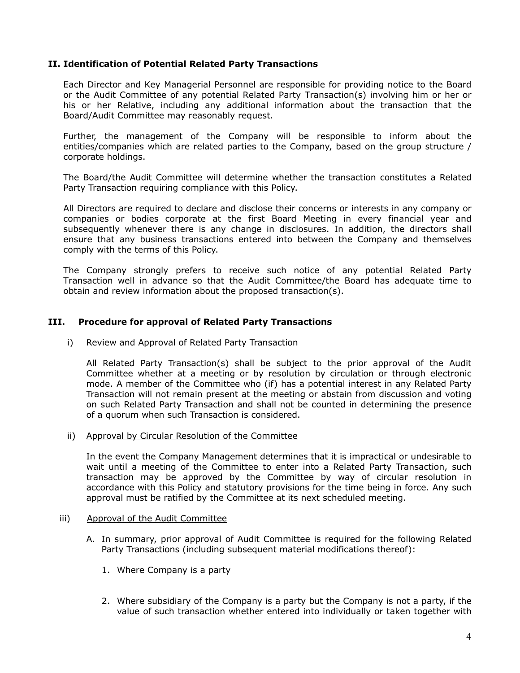## **II. Identification of Potential Related Party Transactions**

Each Director and Key Managerial Personnel are responsible for providing notice to the Board or the Audit Committee of any potential Related Party Transaction(s) involving him or her or his or her Relative, including any additional information about the transaction that the Board/Audit Committee may reasonably request.

Further, the management of the Company will be responsible to inform about the entities/companies which are related parties to the Company, based on the group structure / corporate holdings.

The Board/the Audit Committee will determine whether the transaction constitutes a Related Party Transaction requiring compliance with this Policy.

All Directors are required to declare and disclose their concerns or interests in any company or companies or bodies corporate at the first Board Meeting in every financial year and subsequently whenever there is any change in disclosures. In addition, the directors shall ensure that any business transactions entered into between the Company and themselves comply with the terms of this Policy.

The Company strongly prefers to receive such notice of any potential Related Party Transaction well in advance so that the Audit Committee/the Board has adequate time to obtain and review information about the proposed transaction(s).

## **III. Procedure for approval of Related Party Transactions**

## i) Review and Approval of Related Party Transaction

All Related Party Transaction(s) shall be subject to the prior approval of the Audit Committee whether at a meeting or by resolution by circulation or through electronic mode. A member of the Committee who (if) has a potential interest in any Related Party Transaction will not remain present at the meeting or abstain from discussion and voting on such Related Party Transaction and shall not be counted in determining the presence of a quorum when such Transaction is considered.

## ii) Approval by Circular Resolution of the Committee

In the event the Company Management determines that it is impractical or undesirable to wait until a meeting of the Committee to enter into a Related Party Transaction, such transaction may be approved by the Committee by way of circular resolution in accordance with this Policy and statutory provisions for the time being in force. Any such approval must be ratified by the Committee at its next scheduled meeting.

#### iii) Approval of the Audit Committee

- A. In summary, prior approval of Audit Committee is required for the following Related Party Transactions (including subsequent material modifications thereof):
	- 1. Where Company is a party
	- 2. Where subsidiary of the Company is a party but the Company is not a party, if the value of such transaction whether entered into individually or taken together with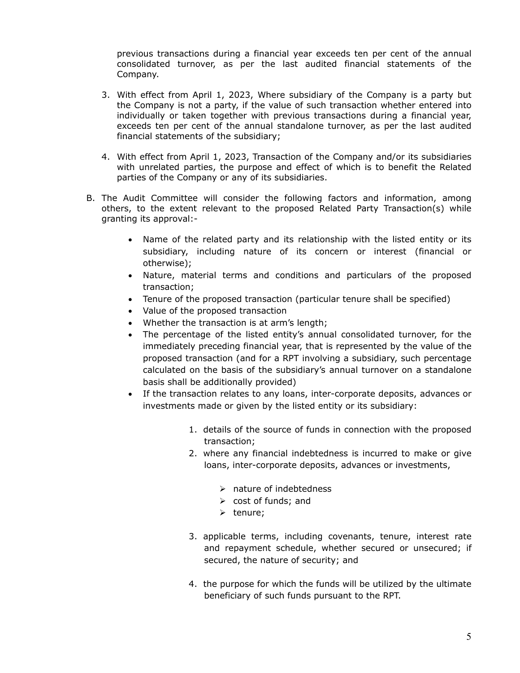previous transactions during a financial year exceeds ten per cent of the annual consolidated turnover, as per the last audited financial statements of the Company.

- 3. With effect from April 1, 2023, Where subsidiary of the Company is a party but the Company is not a party, if the value of such transaction whether entered into individually or taken together with previous transactions during a financial year, exceeds ten per cent of the annual standalone turnover, as per the last audited financial statements of the subsidiary;
- 4. With effect from April 1, 2023, Transaction of the Company and/or its subsidiaries with unrelated parties, the purpose and effect of which is to benefit the Related parties of the Company or any of its subsidiaries.
- B. The Audit Committee will consider the following factors and information, among others, to the extent relevant to the proposed Related Party Transaction(s) while granting its approval:-
	- Name of the related party and its relationship with the listed entity or its subsidiary, including nature of its concern or interest (financial or otherwise);
	- Nature, material terms and conditions and particulars of the proposed transaction;
	- Tenure of the proposed transaction (particular tenure shall be specified)
	- Value of the proposed transaction
	- Whether the transaction is at arm's length;
	- The percentage of the listed entity's annual consolidated turnover, for the immediately preceding financial year, that is represented by the value of the proposed transaction (and for a RPT involving a subsidiary, such percentage calculated on the basis of the subsidiary's annual turnover on a standalone basis shall be additionally provided)
	- If the transaction relates to any loans, inter-corporate deposits, advances or investments made or given by the listed entity or its subsidiary:
		- 1. details of the source of funds in connection with the proposed transaction;
		- 2. where any financial indebtedness is incurred to make or give loans, inter-corporate deposits, advances or investments,
			- $\triangleright$  nature of indebtedness
			- $\triangleright$  cost of funds; and
			- $\triangleright$  tenure;
		- 3. applicable terms, including covenants, tenure, interest rate and repayment schedule, whether secured or unsecured; if secured, the nature of security; and
		- 4. the purpose for which the funds will be utilized by the ultimate beneficiary of such funds pursuant to the RPT.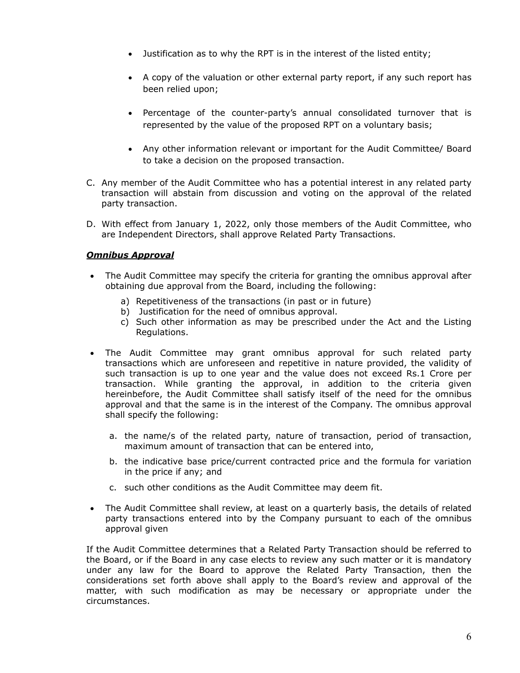- Justification as to why the RPT is in the interest of the listed entity;
- A copy of the valuation or other external party report, if any such report has been relied upon;
- Percentage of the counter-party's annual consolidated turnover that is represented by the value of the proposed RPT on a voluntary basis;
- Any other information relevant or important for the Audit Committee/ Board to take a decision on the proposed transaction.
- C. Any member of the Audit Committee who has a potential interest in any related party transaction will abstain from discussion and voting on the approval of the related party transaction.
- D. With effect from January 1, 2022, only those members of the Audit Committee, who are Independent Directors, shall approve Related Party Transactions.

# *Omnibus Approval*

- The Audit Committee may specify the criteria for granting the omnibus approval after obtaining due approval from the Board, including the following:
	- a) Repetitiveness of the transactions (in past or in future)
	- b) Justification for the need of omnibus approval.
	- c) Such other information as may be prescribed under the Act and the Listing Regulations.
- The Audit Committee may grant omnibus approval for such related party transactions which are unforeseen and repetitive in nature provided, the validity of such transaction is up to one year and the value does not exceed Rs.1 Crore per transaction. While granting the approval, in addition to the criteria given hereinbefore, the Audit Committee shall satisfy itself of the need for the omnibus approval and that the same is in the interest of the Company. The omnibus approval shall specify the following:
	- a. the name/s of the related party, nature of transaction, period of transaction, maximum amount of transaction that can be entered into,
	- b. the indicative base price/current contracted price and the formula for variation in the price if any; and
	- c. such other conditions as the Audit Committee may deem fit.
- The Audit Committee shall review, at least on a quarterly basis, the details of related party transactions entered into by the Company pursuant to each of the omnibus approval given

If the Audit Committee determines that a Related Party Transaction should be referred to the Board, or if the Board in any case elects to review any such matter or it is mandatory under any law for the Board to approve the Related Party Transaction, then the considerations set forth above shall apply to the Board's review and approval of the matter, with such modification as may be necessary or appropriate under the circumstances.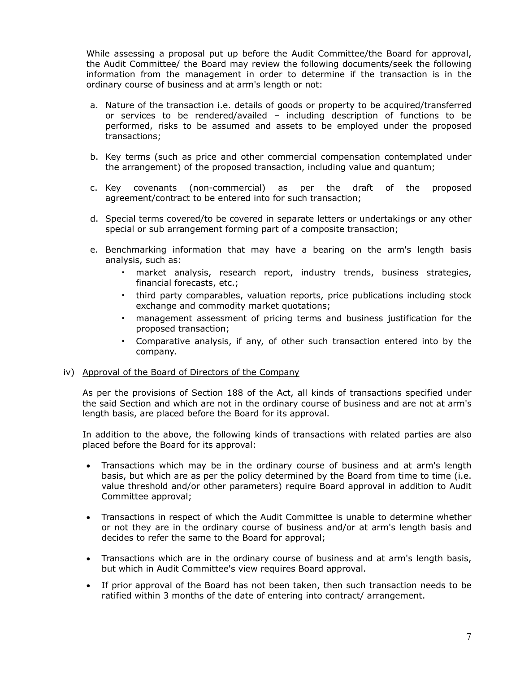While assessing a proposal put up before the Audit Committee/the Board for approval, the Audit Committee/ the Board may review the following documents/seek the following information from the management in order to determine if the transaction is in the ordinary course of business and at arm's length or not:

- a. Nature of the transaction i.e. details of goods or property to be acquired/transferred or services to be rendered/availed – including description of functions to be performed, risks to be assumed and assets to be employed under the proposed transactions;
- b. Key terms (such as price and other commercial compensation contemplated under the arrangement) of the proposed transaction, including value and quantum;
- c. Key covenants (non-commercial) as per the draft of the proposed agreement/contract to be entered into for such transaction;
- d. Special terms covered/to be covered in separate letters or undertakings or any other special or sub arrangement forming part of a composite transaction;
- e. Benchmarking information that may have a bearing on the arm's length basis analysis, such as:
	- market analysis, research report, industry trends, business strategies, financial forecasts, etc.;
	- third party comparables, valuation reports, price publications including stock exchange and commodity market quotations;
	- management assessment of pricing terms and business justification for the proposed transaction;
	- Comparative analysis, if any, of other such transaction entered into by the company.

## iv) Approval of the Board of Directors of the Company

As per the provisions of Section 188 of the Act, all kinds of transactions specified under the said Section and which are not in the ordinary course of business and are not at arm's length basis, are placed before the Board for its approval.

 In addition to the above, the following kinds of transactions with related parties are also placed before the Board for its approval:

- Transactions which may be in the ordinary course of business and at arm's length basis, but which are as per the policy determined by the Board from time to time (i.e. value threshold and/or other parameters) require Board approval in addition to Audit Committee approval;
- Transactions in respect of which the Audit Committee is unable to determine whether or not they are in the ordinary course of business and/or at arm's length basis and decides to refer the same to the Board for approval;
- Transactions which are in the ordinary course of business and at arm's length basis, but which in Audit Committee's view requires Board approval.
- If prior approval of the Board has not been taken, then such transaction needs to be ratified within 3 months of the date of entering into contract/ arrangement.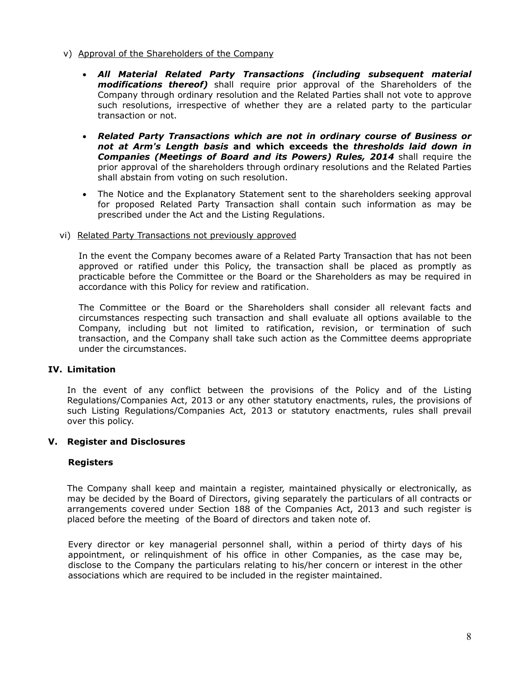- v) Approval of the Shareholders of the Company
	- *All Material Related Party Transactions (including subsequent material modifications thereof)* shall require prior approval of the Shareholders of the Company through ordinary resolution and the Related Parties shall not vote to approve such resolutions, irrespective of whether they are a related party to the particular transaction or not.
	- *Related Party Transactions which are not in ordinary course of Business or not at Arm's Length basis* **and which exceeds the** *thresholds laid down in*  **Companies (Meetings of Board and its Powers) Rules, 2014** shall require the prior approval of the shareholders through ordinary resolutions and the Related Parties shall abstain from voting on such resolution.
	- The Notice and the Explanatory Statement sent to the shareholders seeking approval for proposed Related Party Transaction shall contain such information as may be prescribed under the Act and the Listing Regulations.
- vi) Related Party Transactions not previously approved

In the event the Company becomes aware of a Related Party Transaction that has not been approved or ratified under this Policy, the transaction shall be placed as promptly as practicable before the Committee or the Board or the Shareholders as may be required in accordance with this Policy for review and ratification.

The Committee or the Board or the Shareholders shall consider all relevant facts and circumstances respecting such transaction and shall evaluate all options available to the Company, including but not limited to ratification, revision, or termination of such transaction, and the Company shall take such action as the Committee deems appropriate under the circumstances.

# **IV. Limitation**

In the event of any conflict between the provisions of the Policy and of the Listing Regulations/Companies Act, 2013 or any other statutory enactments, rules, the provisions of such Listing Regulations/Companies Act, 2013 or statutory enactments, rules shall prevail over this policy.

## **V. Register and Disclosures**

## **Registers**

The Company shall keep and maintain a register, maintained physically or electronically, as may be decided by the Board of Directors, giving separately the particulars of all contracts or arrangements covered under Section 188 of the Companies Act, 2013 and such register is placed before the meeting of the Board of directors and taken note of.

Every director or key managerial personnel shall, within a period of thirty days of his appointment, or relinquishment of his office in other Companies, as the case may be, disclose to the Company the particulars relating to his/her concern or interest in the other associations which are required to be included in the register maintained.